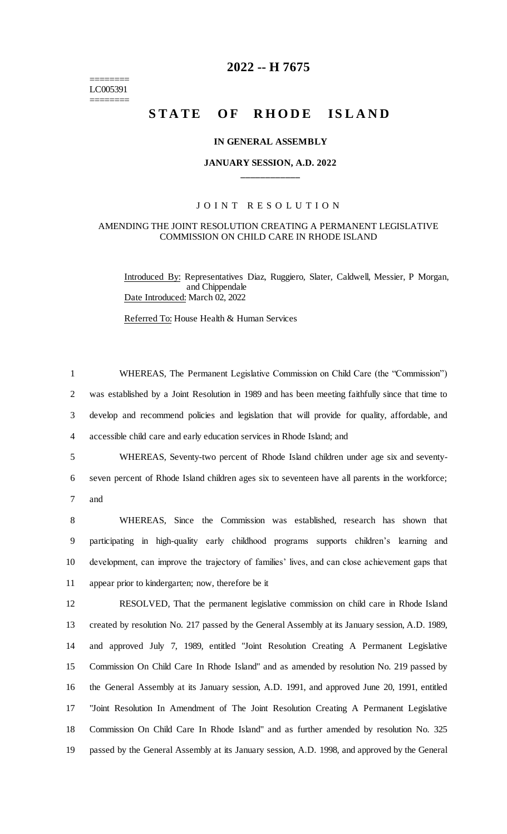======== LC005391 ========

## **2022 -- H 7675**

# **STATE OF RHODE ISLAND**

#### **IN GENERAL ASSEMBLY**

#### **JANUARY SESSION, A.D. 2022 \_\_\_\_\_\_\_\_\_\_\_\_**

## JOINT RESOLUTION

#### AMENDING THE JOINT RESOLUTION CREATING A PERMANENT LEGISLATIVE COMMISSION ON CHILD CARE IN RHODE ISLAND

Introduced By: Representatives Diaz, Ruggiero, Slater, Caldwell, Messier, P Morgan, and Chippendale Date Introduced: March 02, 2022

Referred To: House Health & Human Services

| $\mathbf{1}$   | WHEREAS, The Permanent Legislative Commission on Child Care (the "Commission")                   |
|----------------|--------------------------------------------------------------------------------------------------|
| $\overline{2}$ | was established by a Joint Resolution in 1989 and has been meeting faithfully since that time to |
| 3              | develop and recommend policies and legislation that will provide for quality, affordable, and    |
| $\overline{4}$ | accessible child care and early education services in Rhode Island; and                          |
| 5              | WHEREAS, Seventy-two percent of Rhode Island children under age six and seventy-                 |
| 6              | seven percent of Rhode Island children ages six to seventeen have all parents in the workforce;  |
| 7              | and                                                                                              |
| 8              | WHEREAS, Since the Commission was established, research has shown that                           |
| 9              | participating in high-quality early childhood programs supports children's learning and          |
| 10             | development, can improve the trajectory of families' lives, and can close achievement gaps that  |
| 11             | appear prior to kindergarten; now, therefore be it                                               |
| 12             | RESOLVED, That the permanent legislative commission on child care in Rhode Island                |
| 13             | created by resolution No. 217 passed by the General Assembly at its January session, A.D. 1989,  |
| 14             | and approved July 7, 1989, entitled "Joint Resolution Creating A Permanent Legislative           |
| 15             | Commission On Child Care In Rhode Island" and as amended by resolution No. 219 passed by         |
| 16             | the General Assembly at its January session, A.D. 1991, and approved June 20, 1991, entitled     |
| 17             | "Joint Resolution In Amendment of The Joint Resolution Creating A Permanent Legislative          |
| 18             | Commission On Child Care In Rhode Island" and as further amended by resolution No. 325           |
| 19             | passed by the General Assembly at its January session, A.D. 1998, and approved by the General    |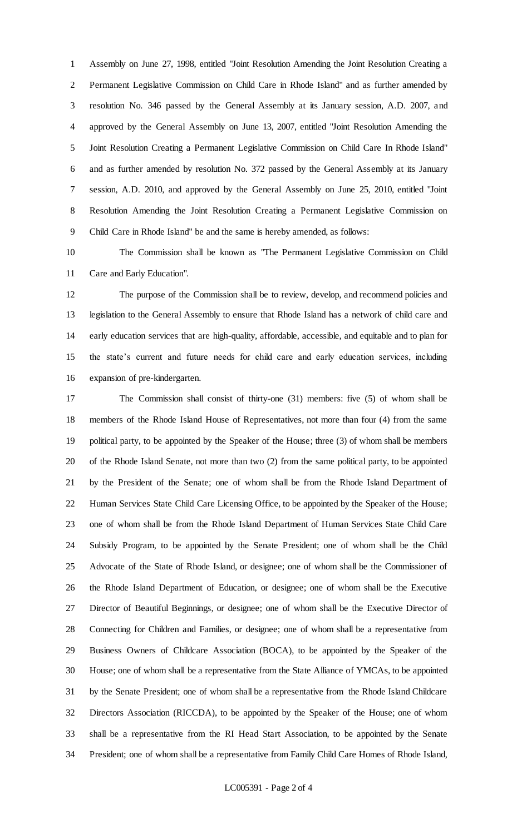Assembly on June 27, 1998, entitled "Joint Resolution Amending the Joint Resolution Creating a Permanent Legislative Commission on Child Care in Rhode Island" and as further amended by resolution No. 346 passed by the General Assembly at its January session, A.D. 2007, and approved by the General Assembly on June 13, 2007, entitled "Joint Resolution Amending the Joint Resolution Creating a Permanent Legislative Commission on Child Care In Rhode Island" and as further amended by resolution No. 372 passed by the General Assembly at its January session, A.D. 2010, and approved by the General Assembly on June 25, 2010, entitled "Joint Resolution Amending the Joint Resolution Creating a Permanent Legislative Commission on Child Care in Rhode Island" be and the same is hereby amended, as follows:

 The Commission shall be known as "The Permanent Legislative Commission on Child Care and Early Education".

 The purpose of the Commission shall be to review, develop, and recommend policies and legislation to the General Assembly to ensure that Rhode Island has a network of child care and early education services that are high-quality, affordable, accessible, and equitable and to plan for the state's current and future needs for child care and early education services, including expansion of pre-kindergarten.

 The Commission shall consist of thirty-one (31) members: five (5) of whom shall be members of the Rhode Island House of Representatives, not more than four (4) from the same political party, to be appointed by the Speaker of the House; three (3) of whom shall be members of the Rhode Island Senate, not more than two (2) from the same political party, to be appointed by the President of the Senate; one of whom shall be from the Rhode Island Department of Human Services State Child Care Licensing Office, to be appointed by the Speaker of the House; one of whom shall be from the Rhode Island Department of Human Services State Child Care Subsidy Program, to be appointed by the Senate President; one of whom shall be the Child Advocate of the State of Rhode Island, or designee; one of whom shall be the Commissioner of the Rhode Island Department of Education, or designee; one of whom shall be the Executive Director of Beautiful Beginnings, or designee; one of whom shall be the Executive Director of Connecting for Children and Families, or designee; one of whom shall be a representative from Business Owners of Childcare Association (BOCA), to be appointed by the Speaker of the House; one of whom shall be a representative from the State Alliance of YMCAs, to be appointed by the Senate President; one of whom shall be a representative from the Rhode Island Childcare Directors Association (RICCDA), to be appointed by the Speaker of the House; one of whom shall be a representative from the RI Head Start Association, to be appointed by the Senate President; one of whom shall be a representative from Family Child Care Homes of Rhode Island,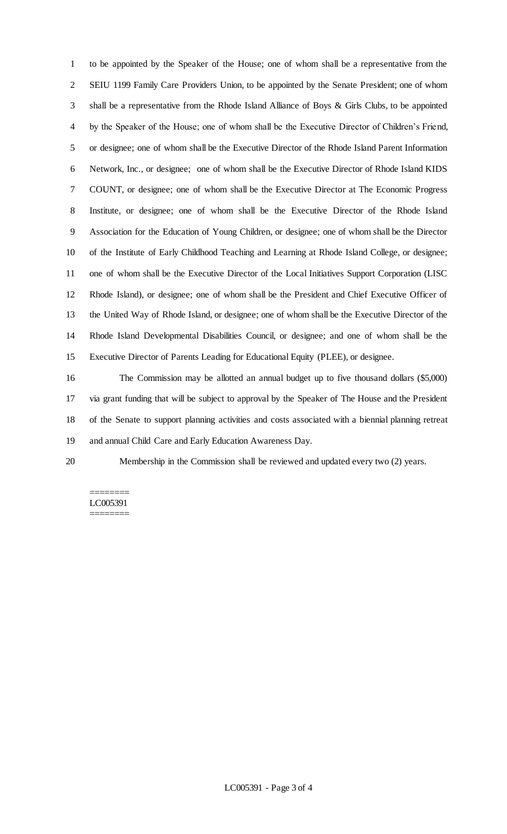to be appointed by the Speaker of the House; one of whom shall be a representative from the SEIU 1199 Family Care Providers Union, to be appointed by the Senate President; one of whom shall be a representative from the Rhode Island Alliance of Boys & Girls Clubs, to be appointed by the Speaker of the House; one of whom shall be the Executive Director of Children's Friend, or designee; one of whom shall be the Executive Director of the Rhode Island Parent Information Network, Inc., or designee; one of whom shall be the Executive Director of Rhode Island KIDS COUNT, or designee; one of whom shall be the Executive Director at The Economic Progress Institute, or designee; one of whom shall be the Executive Director of the Rhode Island Association for the Education of Young Children, or designee; one of whom shall be the Director of the Institute of Early Childhood Teaching and Learning at Rhode Island College, or designee; one of whom shall be the Executive Director of the Local Initiatives Support Corporation (LISC Rhode Island), or designee; one of whom shall be the President and Chief Executive Officer of the United Way of Rhode Island, or designee; one of whom shall be the Executive Director of the Rhode Island Developmental Disabilities Council, or designee; and one of whom shall be the Executive Director of Parents Leading for Educational Equity (PLEE), or designee.

 The Commission may be allotted an annual budget up to five thousand dollars (\$5,000) via grant funding that will be subject to approval by the Speaker of The House and the President of the Senate to support planning activities and costs associated with a biennial planning retreat and annual Child Care and Early Education Awareness Day.

Membership in the Commission shall be reviewed and updated every two (2) years.

## ======== LC005391

========